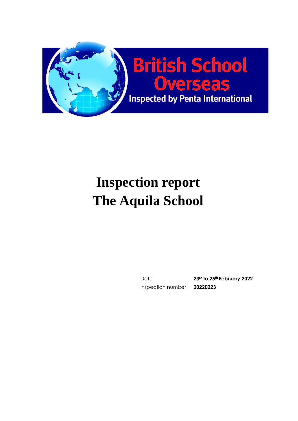

# **Inspection report The Aquila School**

Inspection number **20220223**

Date **23rd to 25th February 2022**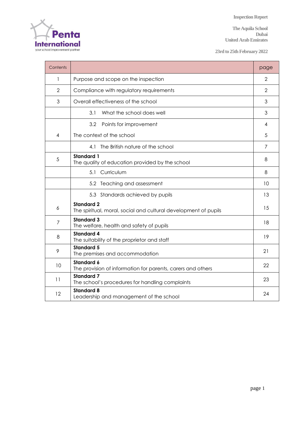**The Aquila School Dubai United Arab Emirates**

**23rd to 25th February 2022**

| Contents       |                                                                                      | page |  |  |  |  |
|----------------|--------------------------------------------------------------------------------------|------|--|--|--|--|
| 1              | Purpose and scope on the inspection                                                  |      |  |  |  |  |
| $\overline{2}$ | Compliance with regulatory requirements                                              |      |  |  |  |  |
| 3              | Overall effectiveness of the school                                                  |      |  |  |  |  |
|                | 3.1<br>What the school does well                                                     |      |  |  |  |  |
|                | 3.2<br>Points for improvement                                                        | 4    |  |  |  |  |
| 4              | The context of the school                                                            |      |  |  |  |  |
|                | The British nature of the school<br>4.1                                              | 7    |  |  |  |  |
| 5              | <b>Standard 1</b><br>The quality of education provided by the school                 |      |  |  |  |  |
|                | Curriculum<br>5.1                                                                    | 8    |  |  |  |  |
|                | 5.2 Teaching and assessment                                                          | 10   |  |  |  |  |
|                | 5.3 Standards achieved by pupils                                                     | 13   |  |  |  |  |
| 6              | <b>Standard 2</b><br>The spiritual, moral, social and cultural development of pupils | 15   |  |  |  |  |
| 7              | <b>Standard 3</b><br>The welfare, health and safety of pupils                        | 18   |  |  |  |  |
| 8              | <b>Standard 4</b><br>The suitability of the proprietor and staff                     | 19   |  |  |  |  |
| 9              | <b>Standard 5</b><br>The premises and accommodation                                  | 21   |  |  |  |  |
| 10             | <b>Standard 6</b><br>The provision of information for parents, carers and others     | 22   |  |  |  |  |
| 11             | <b>Standard 7</b><br>The school's procedures for handling complaints                 | 23   |  |  |  |  |
| 12             | <b>Standard 8</b><br>Leadership and management of the school                         | 24   |  |  |  |  |

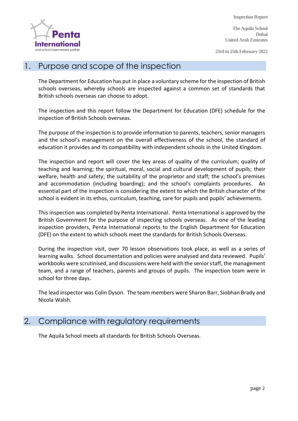

**The Aquila School Dubai United Arab Emirates**

**23rd to 25th February 2022**

#### 1. Purpose and scope of the inspection

The Department for Education has put in place a voluntary scheme for the inspection of British schools overseas, whereby schools are inspected against a common set of standards that British schools overseas can choose to adopt.

The inspection and this report follow the Department for Education (DFE) schedule for the inspection of British Schools overseas.

The purpose of the inspection is to provide information to parents, teachers, senior managers and the school's management on the overall effectiveness of the school, the standard of education it provides and its compatibility with independent schools in the United Kingdom.

The inspection and report will cover the key areas of quality of the curriculum; quality of teaching and learning; the spiritual, moral, social and cultural development of pupils; their welfare, health and safety; the suitability of the proprietor and staff; the school's premises and accommodation (including boarding); and the school's complaints procedures. An essential part of the inspection is considering the extent to which the British character of the school is evident in its ethos, curriculum, teaching, care for pupils and pupils' achievements.

This inspection was completed by Penta International. Penta International is approved by the British Government for the purpose of inspecting schools overseas. As one of the leading inspection providers, Penta International reports to the English Department for Education (DFE) on the extent to which schools meet the standards for British Schools Overseas.

During the inspection visit, over 70 lesson observations took place, as well as a series of learning walks. School documentation and policies were analysed and data reviewed. Pupils' workbooks were scrutinised, and discussions were held with the senior staff, the management team, and a range of teachers, parents and groups of pupils. The inspection team were in school for three days.

The lead inspector was Colin Dyson. The team members were Sharon Barr, Siobhan Brady and Nicola Walsh.

#### 2. Compliance with regulatory requirements

The Aquila School meets all standards for British Schools Overseas.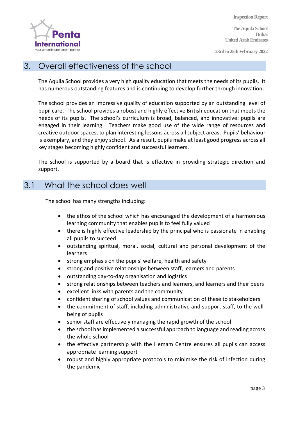

**The Aquila School Dubai United Arab Emirates**

**23rd to 25th February 2022**

#### 3. Overall effectiveness of the school

The Aquila School provides a very high quality education that meets the needs of its pupils. It has numerous outstanding features and is continuing to develop further through innovation.

The school provides an impressive quality of education supported by an outstanding level of pupil care. The school provides a robust and highly effective British education that meets the needs of its pupils. The school's curriculum is broad, balanced, and innovative: pupils are engaged in their learning. Teachers make good use of the wide range of resources and creative outdoor spaces, to plan interesting lessons across all subject areas. Pupils' behaviour is exemplary, and they enjoy school. As a result, pupils make at least good progress across all key stages becoming highly confident and successful learners.

The school is supported by a board that is effective in providing strategic direction and support.

#### 3.1 What the school does well

The school has many strengths including:

- the ethos of the school which has encouraged the development of a harmonious learning community that enables pupils to feel fully valued
- there is highly effective leadership by the principal who is passionate in enabling all pupils to succeed
- outstanding spiritual, moral, social, cultural and personal development of the learners
- strong emphasis on the pupils' welfare, health and safety
- strong and positive relationships between staff, learners and parents
- outstanding day-to-day organisation and logistics
- strong relationships between teachers and learners, and learners and their peers
- excellent links with parents and the community
- confident sharing of school values and communication of these to stakeholders
- the commitment of staff, including administrative and support staff, to the wellbeing of pupils
- senior staff are effectively managing the rapid growth of the school
- the school has implemented a successful approach to language and reading across the whole school
- the effective partnership with the Hemam Centre ensures all pupils can access appropriate learning support
- robust and highly appropriate protocols to minimise the risk of infection during the pandemic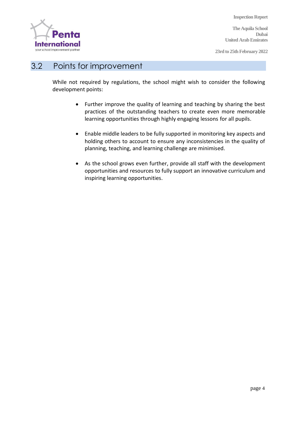

**The Aquila School Dubai United Arab Emirates**

**23rd to 25th February 2022**

#### 3.2 Points for improvement

While not required by regulations, the school might wish to consider the following development points:

- Further improve the quality of learning and teaching by sharing the best practices of the outstanding teachers to create even more memorable learning opportunities through highly engaging lessons for all pupils.
- Enable middle leaders to be fully supported in monitoring key aspects and holding others to account to ensure any inconsistencies in the quality of planning, teaching, and learning challenge are minimised.
- As the school grows even further, provide all staff with the development opportunities and resources to fully support an innovative curriculum and inspiring learning opportunities.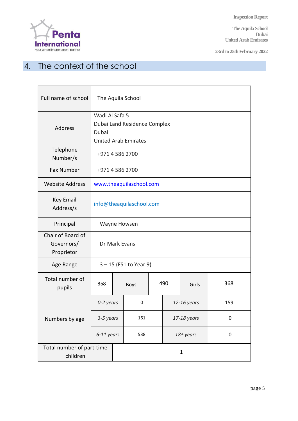

**The Aquila School Dubai United Arab Emirates**

**23rd to 25th February 2022**

## 4. The context of the school

| Full name of school                           | The Aquila School                                                                      |              |             |     |             |             |             |  |
|-----------------------------------------------|----------------------------------------------------------------------------------------|--------------|-------------|-----|-------------|-------------|-------------|--|
| Address                                       | Wadi Al Safa 5<br>Dubai Land Residence Complex<br>Dubai<br><b>United Arab Emirates</b> |              |             |     |             |             |             |  |
| Telephone<br>Number/s                         | +971 4 586 2700                                                                        |              |             |     |             |             |             |  |
| <b>Fax Number</b>                             | +971 4 586 2700                                                                        |              |             |     |             |             |             |  |
| <b>Website Address</b>                        | www.theaquilaschool.com                                                                |              |             |     |             |             |             |  |
| <b>Key Email</b><br>Address/s                 | info@theaquilaschool.com                                                               |              |             |     |             |             |             |  |
| Principal                                     | Wayne Howsen                                                                           |              |             |     |             |             |             |  |
| Chair of Board of<br>Governors/<br>Proprietor | Dr Mark Evans                                                                          |              |             |     |             |             |             |  |
| Age Range                                     | $3 - 15$ (FS1 to Year 9)                                                               |              |             |     |             |             |             |  |
| Total number of<br>pupils                     | 858                                                                                    |              | <b>Boys</b> | 490 |             | Girls       | 368         |  |
|                                               | 0-2 years                                                                              |              | 0           |     |             | 12-16 years | 159         |  |
| Numbers by age                                | 3-5 years                                                                              |              | 161         |     | 17-18 years |             | $\mathbf 0$ |  |
|                                               | 6-11 years                                                                             |              | 538         |     | 18+ years   |             | 0           |  |
| Total number of part-time<br>children         |                                                                                        | $\mathbf{1}$ |             |     |             |             |             |  |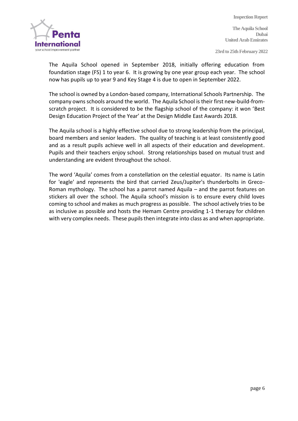

**Inspection Report The Aquila School Dubai United Arab Emirates 23rd to 25th February 2022**

The Aquila School opened in September 2018, initially offering education from foundation stage (FS) 1 to year 6. It is growing by one year group each year. The school now has pupils up to year 9 and Key Stage 4 is due to open in September 2022.

The school is owned by a London-based company, International Schools Partnership. The company owns schools around the world. The Aquila School is their first new-build-fromscratch project. It is considered to be the flagship school of the company: it won 'Best Design Education Project of the Year' at the Design Middle East Awards 2018.

The Aquila school is a highly effective school due to strong leadership from the principal, board members and senior leaders. The quality of teaching is at least consistently good and as a result pupils achieve well in all aspects of their education and development. Pupils and their teachers enjoy school. Strong relationships based on mutual trust and understanding are evident throughout the school.

The word 'Aquila' comes from a constellation on the celestial equator. Its name is Latin for 'eagle' and represents the bird that carried Zeus/Jupiter's thunderbolts in Greco-Roman mythology. The school has a parrot named Aquila – and the parrot features on stickers all over the school. The Aquila school's mission is to ensure every child loves coming to school and makes as much progress as possible. The school actively tries to be as inclusive as possible and hosts the Hemam Centre providing 1-1 therapy for children with very complex needs. These pupils then integrate into class as and when appropriate.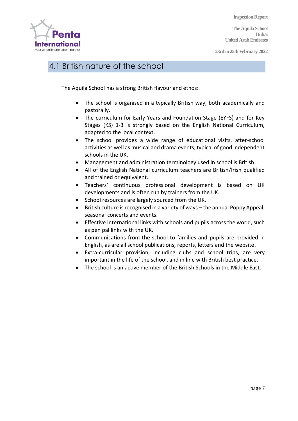**The Aquila School Dubai United Arab Emirates**

**23rd to 25th February 2022**



## 4.1 British nature of the school

The Aquila School has a strong British flavour and ethos:

- The school is organised in a typically British way, both academically and pastorally.
- The curriculum for Early Years and Foundation Stage (EYFS) and for Key Stages (KS) 1-3 is strongly based on the English National Curriculum, adapted to the local context.
- The school provides a wide range of educational visits, after-school activities as well as musical and drama events, typical of good independent schools in the UK.
- Management and administration terminology used in school is British.
- All of the English National curriculum teachers are British/Irish qualified and trained or equivalent.
- Teachers' continuous professional development is based on UK developments and is often run by trainers from the UK.
- School resources are largely sourced from the UK.
- British culture is recognised in a variety of ways the annual Poppy Appeal, seasonal concerts and events.
- Effective international links with schools and pupils across the world, such as pen pal links with the UK.
- Communications from the school to families and pupils are provided in English, as are all school publications, reports, letters and the website.
- Extra-curricular provision, including clubs and school trips, are very important in the life of the school, and in line with British best practice.
- The school is an active member of the British Schools in the Middle East.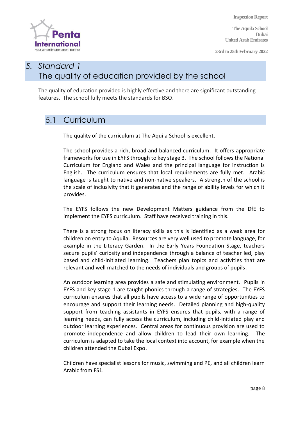**The Aquila School Dubai United Arab Emirates**

**23rd to 25th February 2022**



## *5. Standard 1* The quality of education provided by the school

The quality of education provided is highly effective and there are significant outstanding features. The school fully meets the standards for BSO.

## 5.1 Curriculum

The quality of the curriculum at The Aquila School is excellent.

The school provides a rich, broad and balanced curriculum. It offers appropriate frameworks for use in EYFS through to key stage 3. The school follows the National Curriculum for England and Wales and the principal language for instruction is English. The curriculum ensures that local requirements are fully met. Arabic language is taught to native and non-native speakers. A strength of the school is the scale of inclusivity that it generates and the range of ability levels for which it provides.

The EYFS follows the new Development Matters guidance from the DfE to implement the EYFS curriculum. Staff have received training in this.

There is a strong focus on literacy skills as this is identified as a weak area for children on entry to Aquila. Resources are very well used to promote language, for example in the Literacy Garden. In the Early Years Foundation Stage, teachers secure pupils' curiosity and independence through a balance of teacher led, play based and child-initiated learning. Teachers plan topics and activities that are relevant and well matched to the needs of individuals and groups of pupils.

An outdoor learning area provides a safe and stimulating environment. Pupils in EYFS and key stage 1 are taught phonics through a range of strategies. The EYFS curriculum ensures that all pupils have access to a wide range of opportunities to encourage and support their learning needs. Detailed planning and high-quality support from teaching assistants in EYFS ensures that pupils, with a range of learning needs, can fully access the curriculum, including child-initiated play and outdoor learning experiences. Central areas for continuous provision are used to promote independence and allow children to lead their own learning. The curriculum is adapted to take the local context into account, for example when the children attended the Dubai Expo.

Children have specialist lessons for music, swimming and PE, and all children learn Arabic from FS1.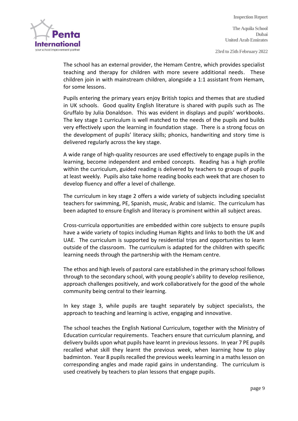

**The Aquila School Dubai United Arab Emirates**

**23rd to 25th February 2022**

The school has an external provider, the Hemam Centre, which provides specialist teaching and therapy for children with more severe additional needs. These children join in with mainstream children, alongside a 1:1 assistant from Hemam, for some lessons.

Pupils entering the primary years enjoy British topics and themes that are studied in UK schools. Good quality English literature is shared with pupils such as The Gruffalo by Julia Donaldson. This was evident in displays and pupils' workbooks. The key stage 1 curriculum is well matched to the needs of the pupils and builds very effectively upon the learning in foundation stage. There is a strong focus on the development of pupils' literacy skills; phonics, handwriting and story time is delivered regularly across the key stage.

A wide range of high-quality resources are used effectively to engage pupils in the learning, become independent and embed concepts. Reading has a high profile within the curriculum, guided reading is delivered by teachers to groups of pupils at least weekly. Pupils also take home reading books each week that are chosen to develop fluency and offer a level of challenge.

The curriculum in key stage 2 offers a wide variety of subjects including specialist teachers for swimming, PE, Spanish, music, Arabic and Islamic. The curriculum has been adapted to ensure English and literacy is prominent within all subject areas.

Cross-curricula opportunities are embedded within core subjects to ensure pupils have a wide variety of topics including Human Rights and links to both the UK and UAE. The curriculum is supported by residential trips and opportunities to learn outside of the classroom. The curriculum is adapted for the children with specific learning needs through the partnership with the Hemam centre.

The ethos and high levels of pastoral care established in the primary school follows through to the secondary school, with young people's ability to develop resilience, approach challenges positively, and work collaboratively for the good of the whole community being central to their learning.

In key stage 3, while pupils are taught separately by subject specialists, the approach to teaching and learning is active, engaging and innovative.

The school teaches the English National Curriculum, together with the Ministry of Education curricular requirements. Teachers ensure that curriculum planning, and delivery builds upon what pupils have learnt in previous lessons. In year 7 PE pupils recalled what skill they learnt the previous week, when learning how to play badminton. Year 8 pupils recalled the previous weeks learning in a maths lesson on corresponding angles and made rapid gains in understanding. The curriculum is used creatively by teachers to plan lessons that engage pupils.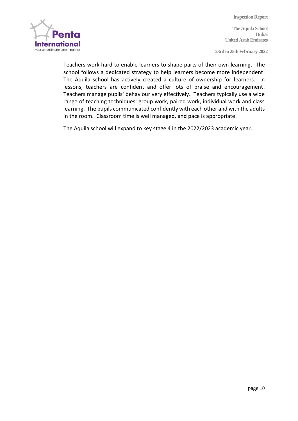

**The Aquila School Dubai United Arab Emirates**

**23rd to 25th February 2022**

Teachers work hard to enable learners to shape parts of their own learning. The school follows a dedicated strategy to help learners become more independent. The Aquila school has actively created a culture of ownership for learners. In lessons, teachers are confident and offer lots of praise and encouragement. Teachers manage pupils' behaviour very effectively. Teachers typically use a wide range of teaching techniques: group work, paired work, individual work and class learning. The pupils communicated confidently with each other and with the adults in the room. Classroom time is well managed, and pace is appropriate.

The Aquila school will expand to key stage 4 in the 2022/2023 academic year.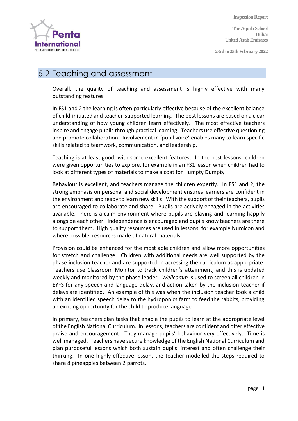**International** your school improvement partne

**Inspection Report**

**The Aquila School Dubai United Arab Emirates**

**23rd to 25th February 2022**

#### 5.2 Teaching and assessment

Overall, the quality of teaching and assessment is highly effective with many outstanding features.

In FS1 and 2 the learning is often particularly effective because of the excellent balance of child-initiated and teacher-supported learning. The best lessons are based on a clear understanding of how young children learn effectively. The most effective teachers inspire and engage pupils through practical learning. Teachers use effective questioning and promote collaboration. Involvement in 'pupil voice' enables many to learn specific skills related to teamwork, communication, and leadership.

Teaching is at least good, with some excellent features. In the best lessons, children were given opportunities to explore, for example in an FS1 lesson when children had to look at different types of materials to make a coat for Humpty Dumpty

Behaviour is excellent, and teachers manage the children expertly. In FS1 and 2, the strong emphasis on personal and social development ensures learners are confident in the environment and ready to learn new skills. With the support of their teachers, pupils are encouraged to collaborate and share. Pupils are actively engaged in the activities available. There is a calm environment where pupils are playing and learning happily alongside each other. Independence is encouraged and pupils know teachers are there to support them. High quality resources are used in lessons, for example Numicon and where possible, resources made of natural materials.

Provision could be enhanced for the most able children and allow more opportunities for stretch and challenge. Children with additional needs are well supported by the phase inclusion teacher and are supported in accessing the curriculum as appropriate. Teachers use Classroom Monitor to track children's attainment, and this is updated weekly and monitored by the phase leader. *Wellcomm* is used to screen all children in EYFS for any speech and language delay, and action taken by the inclusion teacher if delays are identified. An example of this was when the inclusion teacher took a child with an identified speech delay to the hydroponics farm to feed the rabbits, providing an exciting opportunity for the child to produce language

In primary, teachers plan tasks that enable the pupils to learn at the appropriate level of the English National Curriculum. In lessons, teachers are confident and offer effective praise and encouragement. They manage pupils' behaviour very effectively. Time is well managed. Teachers have secure knowledge of the English National Curriculum and plan purposeful lessons which both sustain pupils' interest and often challenge their thinking. In one highly effective lesson, the teacher modelled the steps required to share 8 pineapples between 2 parrots.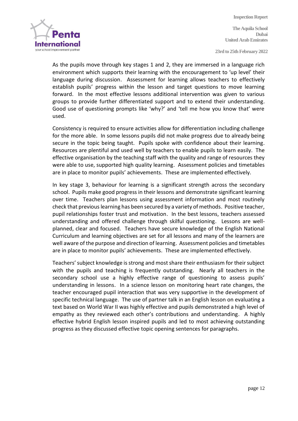

**The Aquila School Dubai United Arab Emirates**

**23rd to 25th February 2022**

As the pupils move through key stages 1 and 2, they are immersed in a language rich environment which supports their learning with the encouragement to 'up level' their language during discussion. Assessment for learning allows teachers to effectively establish pupils' progress within the lesson and target questions to move learning forward. In the most effective lessons additional intervention was given to various groups to provide further differentiated support and to extend their understanding. Good use of questioning prompts like 'why?' and 'tell me how you know that' were used.

Consistency is required to ensure activities allow for differentiation including challenge for the more able. In some lessons pupils did not make progress due to already being secure in the topic being taught. Pupils spoke with confidence about their learning. Resources are plentiful and used well by teachers to enable pupils to learn easily. The effective organisation by the teaching staff with the quality and range of resources they were able to use, supported high quality learning. Assessment policies and timetables are in place to monitor pupils' achievements. These are implemented effectively.

In key stage 3, behaviour for learning is a significant strength across the secondary school. Pupils make good progress in their lessons and demonstrate significant learning over time. Teachers plan lessons using assessment information and most routinely check that previous learning has been secured by a variety of methods. Positive teacher, pupil relationships foster trust and motivation. In the best lessons, teachers assessed understanding and offered challenge through skilful questioning. Lessons are wellplanned, clear and focused. Teachers have secure knowledge of the English National Curriculum and learning objectives are set for all lessons and many of the learners are well aware of the purpose and direction of learning. Assessment policies and timetables are in place to monitor pupils' achievements. These are implemented effectively.

Teachers' subject knowledge is strong and most share their enthusiasm for their subject with the pupils and teaching is frequently outstanding. Nearly all teachers in the secondary school use a highly effective range of questioning to assess pupils' understanding in lessons. In a science lesson on monitoring heart rate changes, the teacher encouraged pupil interaction that was very supportive in the development of specific technical language. The use of partner talk in an English lesson on evaluating a text based on World War II was highly effective and pupils demonstrated a high level of empathy as they reviewed each other's contributions and understanding. A highly effective hybrid English lesson inspired pupils and led to most achieving outstanding progress as they discussed effective topic opening sentences for paragraphs.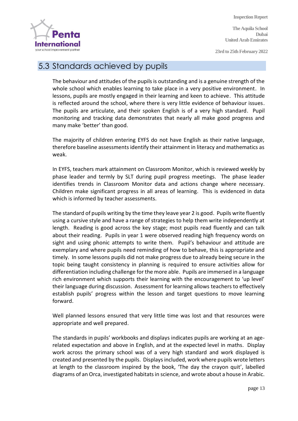

**The Aquila School Dubai United Arab Emirates**

**23rd to 25th February 2022**

## 5.3 Standards achieved by pupils

The behaviour and attitudes of the pupils is outstanding and is a genuine strength of the whole school which enables learning to take place in a very positive environment. In lessons, pupils are mostly engaged in their learning and keen to achieve. This attitude is reflected around the school, where there is very little evidence of behaviour issues. The pupils are articulate, and their spoken English is of a very high standard. Pupil monitoring and tracking data demonstrates that nearly all make good progress and many make 'better' than good.

The majority of children entering EYFS do not have English as their native language, therefore baseline assessments identify their attainment in literacy and mathematics as weak.

In EYFS, teachers mark attainment on Classroom Monitor, which is reviewed weekly by phase leader and termly by SLT during pupil progress meetings. The phase leader identifies trends in Classroom Monitor data and actions change where necessary. Children make significant progress in all areas of learning. This is evidenced in data which is informed by teacher assessments.

The standard of pupils writing by the time they leave year 2 is good. Pupils write fluently using a cursive style and have a range of strategies to help them write independently at length. Reading is good across the key stage; most pupils read fluently and can talk about their reading. Pupils in year 1 were observed reading high frequency words on sight and using phonic attempts to write them. Pupil's behaviour and attitude are exemplary and where pupils need reminding of how to behave, this is appropriate and timely. In some lessons pupils did not make progress due to already being secure in the topic being taught consistency in planning is required to ensure activities allow for differentiation including challenge for the more able. Pupils are immersed in a language rich environment which supports their learning with the encouragement to 'up level' their language during discussion. Assessment for learning allows teachers to effectively establish pupils' progress within the lesson and target questions to move learning forward.

Well planned lessons ensured that very little time was lost and that resources were appropriate and well prepared.

The standards in pupils' workbooks and displays indicates pupils are working at an agerelated expectation and above in English, and at the expected level in maths. Display work across the primary school was of a very high standard and work displayed is created and presented by the pupils. Displays included, work where pupils wrote letters at length to the classroom inspired by the book, 'The day the crayon quit', labelled diagrams of an Orca, investigated habitats in science, and wrote about a house in Arabic.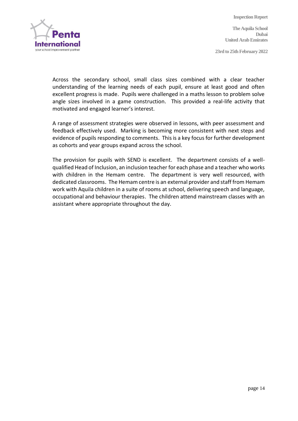

**The Aquila School Dubai United Arab Emirates**

**23rd to 25th February 2022**

Across the secondary school, small class sizes combined with a clear teacher understanding of the learning needs of each pupil, ensure at least good and often excellent progress is made. Pupils were challenged in a maths lesson to problem solve angle sizes involved in a game construction. This provided a real-life activity that motivated and engaged learner's interest.

A range of assessment strategies were observed in lessons, with peer assessment and feedback effectively used. Marking is becoming more consistent with next steps and evidence of pupils responding to comments. This is a key focus for further development as cohorts and year groups expand across the school.

The provision for pupils with SEND is excellent. The department consists of a wellqualified Head of Inclusion, an inclusion teacher for each phase and a teacher who works with children in the Hemam centre. The department is very well resourced, with dedicated classrooms. The Hemam centre is an external provider and staff from Hemam work with Aquila children in a suite of rooms at school, delivering speech and language, occupational and behaviour therapies. The children attend mainstream classes with an assistant where appropriate throughout the day.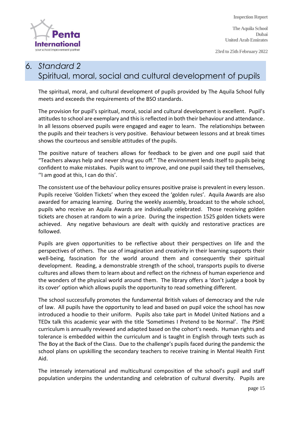

**23rd to 25th February 2022**

# **International** your school improvement partne

#### *6. Standard 2*  Spiritual, moral, social and cultural development of pupils

The spiritual, moral, and cultural development of pupils provided by The Aquila School fully meets and exceeds the requirements of the BSO standards.

The provision for pupil's spiritual, moral, social and cultural development is excellent. Pupil's attitudes to school are exemplary and this is reflected in both their behaviour and attendance. In all lessons observed pupils were engaged and eager to learn. The relationships between the pupils and their teachers is very positive. Behaviour between lessons and at break times shows the courteous and sensible attitudes of the pupils.

The positive nature of teachers allows for feedback to be given and one pupil said that "Teachers always help and never shrug you off." The environment lends itself to pupils being confident to make mistakes. Pupils want to improve, and one pupil said they tell themselves, ''I am good at this, I can do this'.

The consistent use of the behaviour policy ensures positive praise is prevalent in every lesson. Pupils receive 'Golden Tickets' when they exceed the 'golden rules'. Aquila Awards are also awarded for amazing learning. During the weekly assembly, broadcast to the whole school, pupils who receive an Aquila Awards are individually celebrated. Those receiving golden tickets are chosen at random to win a prize. During the inspection 1525 golden tickets were achieved. Any negative behaviours are dealt with quickly and restorative practices are followed.

Pupils are given opportunities to be reflective about their perspectives on life and the perspectives of others. The use of imagination and creativity in their learning supports their well-being, fascination for the world around them and consequently their spiritual development. Reading, a demonstrable strength of the school, transports pupils to diverse cultures and allows them to learn about and reflect on the richness of human experience and the wonders of the physical world around them. The library offers a 'don't judge a book by its cover' option which allows pupils the opportunity to read something different.

The school successfully promotes the fundamental British values of democracy and the rule of law. All pupils have the opportunity to lead and based on pupil voice the school has now introduced a hoodie to their uniform. Pupils also take part in Model United Nations and a TEDx talk this academic year with the title 'Sometimes I Pretend to be Normal'. The PSHE curriculum is annually reviewed and adapted based on the cohort's needs. Human rights and tolerance is embedded within the curriculum and is taught in English through texts such as The Boy at the Back of the Class. Due to the challenge's pupils faced during the pandemic the school plans on upskilling the secondary teachers to receive training in Mental Health First Aid.

The intensely international and multicultural composition of the school's pupil and staff population underpins the understanding and celebration of cultural diversity. Pupils are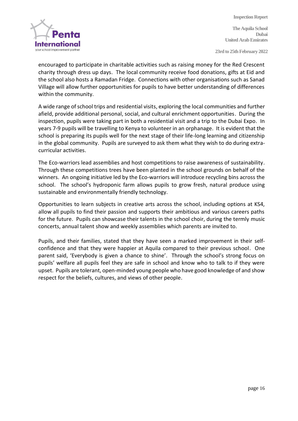

**The Aquila School Dubai United Arab Emirates**

**23rd to 25th February 2022**

encouraged to participate in charitable activities such as raising money for the Red Crescent charity through dress up days. The local community receive food donations, gifts at Eid and the school also hosts a Ramadan Fridge. Connections with other organisations such as Sanad Village will allow further opportunities for pupils to have better understanding of differences within the community.

A wide range of school trips and residential visits, exploring the local communities and further afield, provide additional personal, social, and cultural enrichment opportunities. During the inspection, pupils were taking part in both a residential visit and a trip to the Dubai Expo. In years 7-9 pupils will be travelling to Kenya to volunteer in an orphanage. It is evident that the school is preparing its pupils well for the next stage of their life-long learning and citizenship in the global community. Pupils are surveyed to ask them what they wish to do during extracurricular activities.

The Eco-warriors lead assemblies and host competitions to raise awareness of sustainability. Through these competitions trees have been planted in the school grounds on behalf of the winners. An ongoing initiative led by the Eco-warriors will introduce recycling bins across the school. The school's hydroponic farm allows pupils to grow fresh, natural produce using sustainable and environmentally friendly technology.

Opportunities to learn subjects in creative arts across the school, including options at KS4, allow all pupils to find their passion and supports their ambitious and various careers paths for the future. Pupils can showcase their talents in the school choir, during the termly music concerts, annual talent show and weekly assemblies which parents are invited to.

Pupils, and their families, stated that they have seen a marked improvement in their selfconfidence and that they were happier at Aquila compared to their previous school. One parent said, 'Everybody is given a chance to shine'. Through the school's strong focus on pupils' welfare all pupils feel they are safe in school and know who to talk to if they were upset. Pupils are tolerant, open-minded young people who have good knowledge of and show respect for the beliefs, cultures, and views of other people.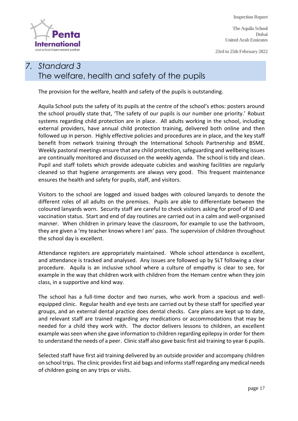**The Aquila School Dubai United Arab Emirates**

**23rd to 25th February 2022**



#### *7. Standard 3* The welfare, health and safety of the pupils

The provision for the welfare, health and safety of the pupils is outstanding.

Aquila School puts the safety of its pupils at the centre of the school's ethos: posters around the school proudly state that, 'The safety of our pupils is our number one priority.' Robust systems regarding child protection are in place. All adults working in the school, including external providers, have annual child protection training, delivered both online and then followed up in person. Highly effective policies and procedures are in place, and the key staff benefit from network training through the International Schools Partnership and BSME. Weekly pastoral meetings ensure that any child protection, safeguarding and wellbeing issues are continually monitored and discussed on the weekly agenda. The school is tidy and clean. Pupil and staff toilets which provide adequate cubicles and washing facilities are regularly cleaned so that hygiene arrangements are always very good. This frequent maintenance ensures the health and safety for pupils, staff, and visitors.

Visitors to the school are logged and issued badges with coloured lanyards to denote the different roles of all adults on the premises. Pupils are able to differentiate between the coloured lanyards worn. Security staff are careful to check visitors asking for proof of ID and vaccination status. Start and end of day routines are carried out in a calm and well-organised manner. When children in primary leave the classroom, for example to use the bathroom, they are given a 'my teacher knows where I am' pass. The supervision of children throughout the school day is excellent.

Attendance registers are appropriately maintained. Whole school attendance is excellent, and attendance is tracked and analysed. Any issues are followed up by SLT following a clear procedure. Aquila is an inclusive school where a culture of empathy is clear to see, for example in the way that children work with children from the Hemam centre when they join class, in a supportive and kind way.

The school has a full-time doctor and two nurses, who work from a spacious and wellequipped clinic. Regular health and eye tests are carried out by these staff for specified year groups, and an external dental practice does dental checks. Care plans are kept up to date, and relevant staff are trained regarding any medications or accommodations that may be needed for a child they work with. The doctor delivers lessons to children, an excellent example was seen when she gave information to children regarding epilepsy in order for them to understand the needs of a peer. Clinic staff also gave basic first aid training to year 6 pupils.

Selected staff have first aid training delivered by an outside provider and accompany children on school trips. The clinic provides first aid bags and informsstaff regarding any medical needs of children going on any trips or visits.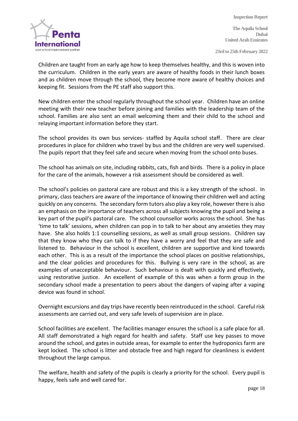

**The Aquila School Dubai United Arab Emirates**

**23rd to 25th February 2022**

Children are taught from an early age how to keep themselves healthy, and this is woven into the curriculum. Children in the early years are aware of healthy foods in their lunch boxes and as children move through the school, they become more aware of healthy choices and keeping fit. Sessions from the PE staff also support this.

New children enter the school regularly throughout the school year. Children have an online meeting with their new teacher before joining and families with the leadership team of the school. Families are also sent an email welcoming them and their child to the school and relaying important information before they start.

The school provides its own bus services- staffed by Aquila school staff. There are clear procedures in place for children who travel by bus and the children are very well supervised. The pupils report that they feel safe and secure when moving from the school onto buses.

The school has animals on site, including rabbits, cats, fish and birds. There is a policy in place for the care of the animals, however a risk assessment should be considered as well.

The school's policies on pastoral care are robust and this is a key strength of the school. In primary, class teachers are aware of the importance of knowing their children well and acting quickly on any concerns. The secondary form tutors also play a key role, however there is also an emphasis on the importance of teachers across all subjects knowing the pupil and being a key part of the pupil's pastoral care. The school counsellor works across the school. She has 'time to talk' sessions, when children can pop in to talk to her about any anxieties they may have. She also holds 1:1 counselling sessions, as well as small group sessions. Children say that they know who they can talk to if they have a worry and feel that they are safe and listened to. Behaviour in the school is excellent, children are supportive and kind towards each other. This is as a result of the importance the school places on positive relationships, and the clear policies and procedures for this. Bullying is very rare in the school, as are examples of unacceptable behaviour. Such behaviour is dealt with quickly and effectively, using restorative justice. An excellent of example of this was when a form group in the secondary school made a presentation to peers about the dangers of vaping after a vaping device was found in school.

Overnight excursions and day trips have recently been reintroduced in the school. Careful risk assessments are carried out, and very safe levels of supervision are in place.

School facilities are excellent. The facilities manager ensures the school is a safe place for all. All staff demonstrated a high regard for health and safety. Staff use key passes to move around the school, and gates in outside areas, for example to enter the hydroponics farm are kept locked. The school is litter and obstacle free and high regard for cleanliness is evident throughout the large campus.

The welfare, health and safety of the pupils is clearly a priority for the school. Every pupil is happy, feels safe and well cared for.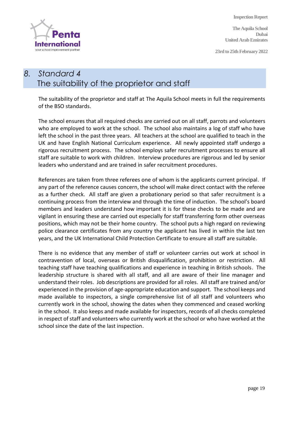

**23rd to 25th February 2022**



## *8. Standard 4* The suitability of the proprietor and staff

The suitability of the proprietor and staff at The Aquila School meets in full the requirements of the BSO standards.

The school ensures that all required checks are carried out on all staff, parrots and volunteers who are employed to work at the school. The school also maintains a log of staff who have left the school in the past three years. All teachers at the school are qualified to teach in the UK and have English National Curriculum experience. All newly appointed staff undergo a rigorous recruitment process. The school employs safer recruitment processes to ensure all staff are suitable to work with children. Interview procedures are rigorous and led by senior leaders who understand and are trained in safer recruitment procedures.

References are taken from three referees one of whom is the applicants current principal. If any part of the reference causes concern, the school will make direct contact with the referee as a further check. All staff are given a probationary period so that safer recruitment is a continuing process from the interview and through the time of induction. The school's board members and leaders understand how important it is for these checks to be made and are vigilant in ensuring these are carried out especially for staff transferring form other overseas positions, which may not be their home country. The school puts a high regard on reviewing police clearance certificates from any country the applicant has lived in within the last ten years, and the UK International Child Protection Certificate to ensure all staff are suitable.

There is no evidence that any member of staff or volunteer carries out work at school in contravention of local, overseas or British disqualification, prohibition or restriction. All teaching staff have teaching qualifications and experience in teaching in British schools. The leadership structure is shared with all staff, and all are aware of their line manager and understand their roles. Job descriptions are provided for all roles. All staff are trained and/or experienced in the provision of age-appropriate education and support. The school keeps and made available to inspectors, a single comprehensive list of all staff and volunteers who currently work in the school, showing the dates when they commenced and ceased working in the school. It also keeps and made available for inspectors, records of all checks completed in respect of staff and volunteers who currently work at the school or who have worked at the school since the date of the last inspection.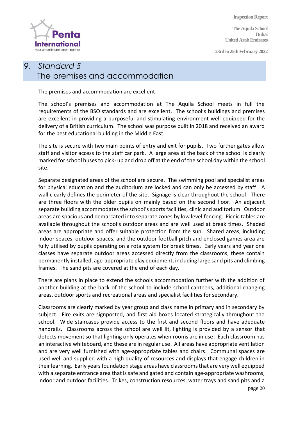

**23rd to 25th February 2022**



## *9. Standard 5* The premises and accommodation

The premises and accommodation are excellent.

The school's premises and accommodation at The Aquila School meets in full the requirements of the BSO standards and are excellent. The school's buildings and premises are excellent in providing a purposeful and stimulating environment well equipped for the delivery of a British curriculum. The school was purpose built in 2018 and received an award for the best educational building in the Middle East.

The site is secure with two main points of entry and exit for pupils. Two further gates allow staff and visitor access to the staff car park. A large area at the back of the school is clearly marked for school buses to pick- up and drop off at the end of the school day within the school site.

Separate designated areas of the school are secure. The swimming pool and specialist areas for physical education and the auditorium are locked and can only be accessed by staff. A wall clearly defines the perimeter of the site. Signage is clear throughout the school. There are three floors with the older pupils on mainly based on the second floor. An adjacent separate building accommodates the school's sports facilities, clinic and auditorium. Outdoor areas are spacious and demarcated into separate zones by low level fencing. Picnic tables are available throughout the school's outdoor areas and are well used at break times. Shaded areas are appropriate and offer suitable protection from the sun. Shared areas, including indoor spaces, outdoor spaces, and the outdoor football pitch and enclosed games area are fully utilised by pupils operating on a rota system for break times. Early years and year one classes have separate outdoor areas accessed directly from the classrooms, these contain permanently installed, age-appropriate play equipment, including large sand pits and climbing frames. The sand pits are covered at the end of each day.

There are plans in place to extend the schools accommodation further with the addition of another building at the back of the school to include school canteens, additional changing areas, outdoor sports and recreational areas and specialist facilities for secondary.

Classrooms are clearly marked by year group and class name in primary and in secondary by subject. Fire exits are signposted, and first aid boxes located strategically throughout the school. Wide staircases provide access to the first and second floors and have adequate handrails. Classrooms across the school are well lit, lighting is provided by a sensor that detects movement so that lighting only operates when rooms are in use. Each classroom has an interactive whiteboard, and these are in regular use. All areas have appropriate ventilation and are very well furnished with age-appropriate tables and chairs. Communal spaces are used well and supplied with a high quality of resources and displays that engage children in their learning. Early years foundation stage areas have classrooms that are very well equipped with a separate entrance area that is safe and gated and contain age-appropriate washrooms, indoor and outdoor facilities. Trikes, construction resources, water trays and sand pits and a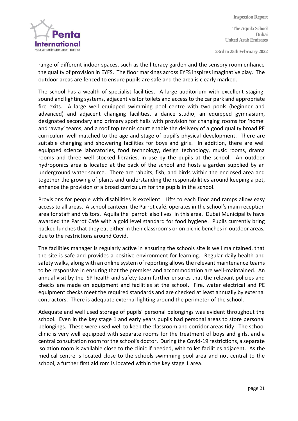

**Inspection Report The Aquila School Dubai United Arab Emirates 23rd to 25th February 2022**

range of different indoor spaces, such as the literacy garden and the sensory room enhance the quality of provision in EYFS. The floor markings across EYFS inspires imaginative play. The outdoor areas are fenced to ensure pupils are safe and the area is clearly marked.

The school has a wealth of specialist facilities. A large auditorium with excellent staging, sound and lighting systems, adjacent visitor toilets and access to the car park and appropriate fire exits. A large well equipped swimming pool centre with two pools (beginner and advanced) and adjacent changing facilities, a dance studio, an equipped gymnasium, designated secondary and primary sport halls with provision for changing rooms for 'home' and 'away' teams, and a roof top tennis court enable the delivery of a good quality broad PE curriculum well matched to the age and stage of pupil's physical development. There are suitable changing and showering facilities for boys and girls. In addition, there are well equipped science laboratories, food technology, design technology, music rooms, drama rooms and three well stocked libraries, in use by the pupils at the school. An outdoor hydroponics area is located at the back of the school and hosts a garden supplied by an underground water source. There are rabbits, fish, and birds within the enclosed area and together the growing of plants and understanding the responsibilities around keeping a pet, enhance the provision of a broad curriculum for the pupils in the school.

Provisions for people with disabilities is excellent. Lifts to each floor and ramps allow easy access to all areas. A school canteen, the Parrot café, operates in the school's main reception area for staff and visitors. Aquila the parrot also lives in this area. Dubai Municipality have awarded the Parrot Café with a gold level standard for food hygiene. Pupils currently bring packed lunches that they eat either in their classrooms or on picnic benches in outdoor areas, due to the restrictions around Covid.

The facilities manager is regularly active in ensuring the schools site is well maintained, that the site is safe and provides a positive environment for learning. Regular daily health and safety walks, along with an online system of reporting allows the relevant maintenance teams to be responsive in ensuring that the premises and accommodation are well-maintained. An annual visit by the ISP health and safety team further ensures that the relevant policies and checks are made on equipment and facilities at the school. Fire, water electrical and PE equipment checks meet the required standards and are checked at least annually by external contractors. There is adequate external lighting around the perimeter of the school.

Adequate and well used storage of pupils' personal belongings was evident throughout the school. Even in the key stage 1 and early years pupils had personal areas to store personal belongings. These were used well to keep the classroom and corridor areas tidy. The school clinic is very well equipped with separate rooms for the treatment of boys and girls, and a central consultation room for the school's doctor. During the Covid-19 restrictions, a separate isolation room is available close to the clinic if needed, with toilet facilities adjacent. As the medical centre is located close to the schools swimming pool area and not central to the school, a further first aid rom is located within the key stage 1 area.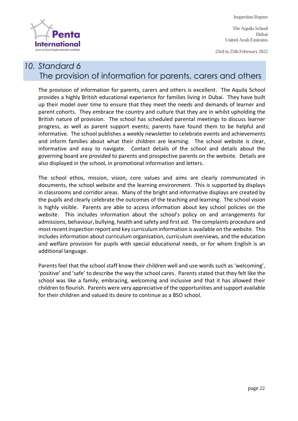**International** your school improvement partne

**Inspection Report**

**The Aquila School Dubai United Arab Emirates**

**23rd to 25th February 2022**

## *10. Standard 6* The provision of information for parents, carers and others

The provision of information for parents, carers and others is excellent. The Aquila School provides a highly British educational experience for families living in Dubai. They have built up their model over time to ensure that they meet the needs and demands of learner and parent cohorts. They embrace the country and culture that they are in whilst upholding the British nature of provision. The school has scheduled parental meetings to discuss learner progress, as well as parent support events; parents have found them to be helpful and informative. The school publishes a weekly newsletter to celebrate events and achievements and inform families about what their children are learning. The school website is clear, informative and easy to navigate. Contact details of the school and details about the governing board are provided to parents and prospective parents on the website. Details are also displayed in the school, in promotional information and letters.

The school ethos, mission, vision, core values and aims are clearly communicated in documents, the school website and the learning environment. This is supported by displays in classrooms and corridor areas. Many of the bright and informative displays are created by the pupils and clearly celebrate the outcomes of the teaching and learning. The school vision is highly visible. Parents are able to access information about key school policies on the website. This includes information about the school's policy on and arrangements for admissions, behaviour, bullying, health and safety and first aid. The complaints procedure and most recent inspection report and key curriculum information is available on the website. This includes information about curriculum organisation, curriculum overviews, and the education and welfare provision for pupils with special educational needs, or for whom English is an additional language.

Parents feel that the school staff know their children well and use words such as 'welcoming', 'positive' and 'safe' to describe the way the school cares. Parents stated that they felt like the school was like a family, embracing, welcoming and inclusive and that it has allowed their children to flourish. Parents were very appreciative of the opportunities and support available for their children and valued its desire to continue as a BSO school.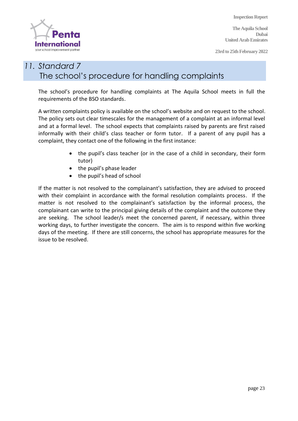**The Aquila School Dubai United Arab Emirates**

**23rd to 25th February 2022**



#### *11. Standard 7* The school's procedure for handling complaints

The school's procedure for handling complaints at The Aquila School meets in full the requirements of the BSO standards.

A written complaints policy is available on the school's website and on request to the school. The policy sets out clear timescales for the management of a complaint at an informal level and at a formal level. The school expects that complaints raised by parents are first raised informally with their child's class teacher or form tutor. If a parent of any pupil has a complaint, they contact one of the following in the first instance:

- the pupil's class teacher (or in the case of a child in secondary, their form tutor)
- the pupil's phase leader
- the pupil's head of school

If the matter is not resolved to the complainant's satisfaction, they are advised to proceed with their complaint in accordance with the formal resolution complaints process. If the matter is not resolved to the complainant's satisfaction by the informal process, the complainant can write to the principal giving details of the complaint and the outcome they are seeking. The school leader/s meet the concerned parent, if necessary, within three working days, to further investigate the concern. The aim is to respond within five working days of the meeting. If there are still concerns, the school has appropriate measures for the issue to be resolved.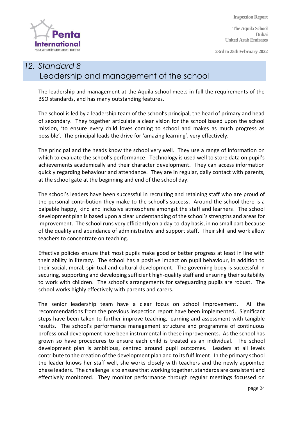**The Aquila School Dubai United Arab Emirates**

**23rd to 25th February 2022**



## *12. Standard 8* Leadership and management of the school

The leadership and management at the Aquila school meets in full the requirements of the BSO standards, and has many outstanding features.

The school is led by a leadership team of the school's principal, the head of primary and head of secondary. They together articulate a clear vision for the school based upon the school mission, 'to ensure every child loves coming to school and makes as much progress as possible'. The principal leads the drive for 'amazing learning', very effectively.

The principal and the heads know the school very well. They use a range of information on which to evaluate the school's performance. Technology is used well to store data on pupil's achievements academically and their character development. They can access information quickly regarding behaviour and attendance. They are in regular, daily contact with parents, at the school gate at the beginning and end of the school day.

The school's leaders have been successful in recruiting and retaining staff who are proud of the personal contribution they make to the school's success. Around the school there is a palpable happy, kind and inclusive atmosphere amongst the staff and learners. The school development plan is based upon a clear understanding of the school's strengths and areas for improvement. The school runs very efficiently on a day-to-day basis, in no small part because of the quality and abundance of administrative and support staff. Their skill and work allow teachers to concentrate on teaching.

Effective policies ensure that most pupils make good or better progress at least in line with their ability in literacy. The school has a positive impact on pupil behaviour, in addition to their social, moral, spiritual and cultural development. The governing body is successful in securing, supporting and developing sufficient high-quality staff and ensuring their suitability to work with children. The school's arrangements for safeguarding pupils are robust. The school works highly effectively with parents and carers.

The senior leadership team have a clear focus on school improvement. All the recommendations from the previous inspection report have been implemented. Significant steps have been taken to further improve teaching, learning and assessment with tangible results. The school's performance management structure and programme of continuous professional development have been instrumental in these improvements. As the school has grown so have procedures to ensure each child is treated as an individual. The school development plan is ambitious, centred around pupil outcomes. Leaders at all levels contribute to the creation of the development plan and to its fulfilment. In the primary school the leader knows her staff well, she works closely with teachers and the newly appointed phase leaders. The challenge is to ensure that working together, standards are consistent and effectively monitored. They monitor performance through regular meetings focussed on